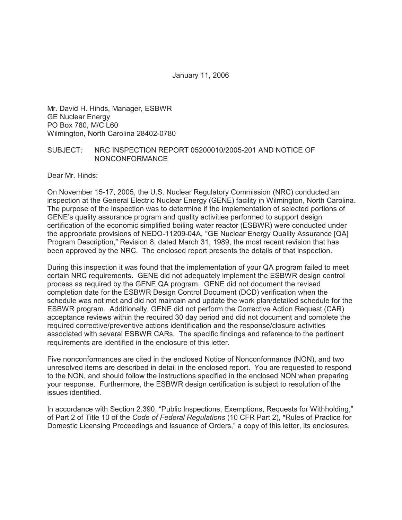January 11, 2006

Mr. David H. Hinds, Manager, ESBWR GE Nuclear Energy PO Box 780, M/C L60 Wilmington, North Carolina 28402-0780

#### SUBJECT: NRC INSPECTION REPORT 05200010/2005-201 AND NOTICE OF NONCONFORMANCE

Dear Mr. Hinds:

On November 15-17, 2005, the U.S. Nuclear Regulatory Commission (NRC) conducted an inspection at the General Electric Nuclear Energy (GENE) facility in Wilmington, North Carolina. The purpose of the inspection was to determine if the implementation of selected portions of GENE's quality assurance program and quality activities performed to support design certification of the economic simplified boiling water reactor (ESBWR) were conducted under the appropriate provisions of NEDO-11209-04A, "GE Nuclear Energy Quality Assurance [QA] Program Description," Revision 8, dated March 31, 1989, the most recent revision that has been approved by the NRC. The enclosed report presents the details of that inspection.

During this inspection it was found that the implementation of your QA program failed to meet certain NRC requirements. GENE did not adequately implement the ESBWR design control process as required by the GENE QA program. GENE did not document the revised completion date for the ESBWR Design Control Document (DCD) verification when the schedule was not met and did not maintain and update the work plan/detailed schedule for the ESBWR program. Additionally, GENE did not perform the Corrective Action Request (CAR) acceptance reviews within the required 30 day period and did not document and complete the required corrective/preventive actions identification and the response/closure activities associated with several ESBWR CARs. The specific findings and reference to the pertinent requirements are identified in the enclosure of this letter.

Five nonconformances are cited in the enclosed Notice of Nonconformance (NON), and two unresolved items are described in detail in the enclosed report. You are requested to respond to the NON, and should follow the instructions specified in the enclosed NON when preparing your response. Furthermore, the ESBWR design certification is subject to resolution of the issues identified.

In accordance with Section 2.390, "Public Inspections, Exemptions, Requests for Withholding," of Part 2 of Title 10 of the *Code of Federal Regulations* (10 CFR Part 2), "Rules of Practice for Domestic Licensing Proceedings and Issuance of Orders," a copy of this letter, its enclosures,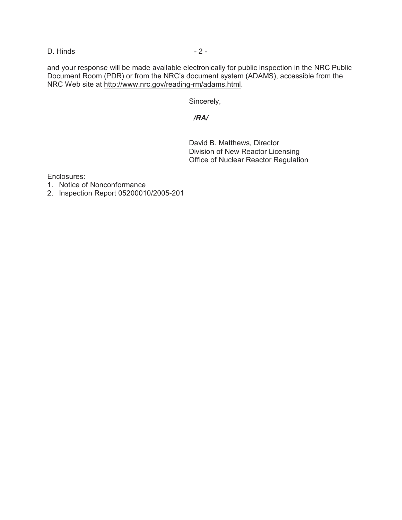D. Hinds - 2 -

and your response will be made available electronically for public inspection in the NRC Public Document Room (PDR) or from the NRC's document system (ADAMS), accessible from the NRC Web site at http://www.nrc.gov/reading-rm/adams.html.

Sincerely,

## */RA/*

David B. Matthews, Director Division of New Reactor Licensing Office of Nuclear Reactor Regulation

Enclosures:

- 1. Notice of Nonconformance
- 2. Inspection Report 05200010/2005-201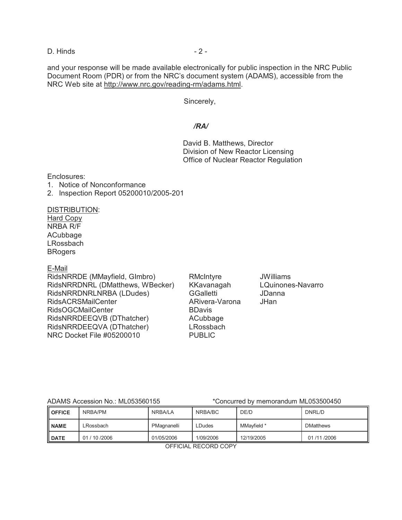D. Hinds - 2 -

and your response will be made available electronically for public inspection in the NRC Public Document Room (PDR) or from the NRC's document system (ADAMS), accessible from the NRC Web site at http://www.nrc.gov/reading-rm/adams.html.

Sincerely,

## */RA/*

David B. Matthews, Director Division of New Reactor Licensing Office of Nuclear Reactor Regulation

Enclosures:

- 1. Notice of Nonconformance
- 2. Inspection Report 05200010/2005-201

### DISTRIBUTION:

Hard Copy NRBA R/F ACubbage LRossbach **BRogers** 

#### E-Mail

RidsNRRDE (MMayfield, Glmbro) RMcIntyre JWilliams RidsNRRDNRL (DMatthews, WBecker) KKavanagah LQuinones-Navarro RidsNRRDNRLNRBA (LDudes) GGalletti JDanna RidsACRSMailCenter ARivera-Varona JHan RidsOGCMailCenter BDavis RidsNRRDEEQVB (DThatcher) ACubbage RidsNRRDEEQVA (DThatcher) LRossbach NRC Docket File #05200010 PUBLIC

ADAMS Accession No.: ML053560155 \*Concurred by memorandum ML053500450

| II OFFICE      | NRBA/PM        | NRBA/LA     | NRBA/BC   | DE/D        | DNRL/D           |
|----------------|----------------|-------------|-----------|-------------|------------------|
| <b>II NAME</b> | ∟Rossbach      | PMagnanelli | LDudes    | MMavfield * | <b>DMatthews</b> |
| <b>DATE</b>    | 01 / 10 / 2006 | 01/05/2006  | 1/09/2006 | 12/19/2005  | 01/11/2006       |

OFFICIAL RECORD COPY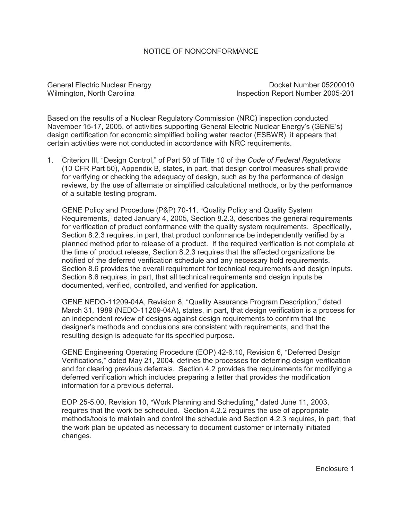### NOTICE OF NONCONFORMANCE

General Electric Nuclear Energy **Docket Number 05200010** Wilmington, North Carolina **Inspection Report Number 2005-201** 

Based on the results of a Nuclear Regulatory Commission (NRC) inspection conducted November 15-17, 2005, of activities supporting General Electric Nuclear Energy's (GENE's) design certification for economic simplified boiling water reactor (ESBWR), it appears that certain activities were not conducted in accordance with NRC requirements.

1. Criterion III, ?Design Control," of Part 50 of Title 10 of the *Code of Federal Regulations* (10 CFR Part 50), Appendix B, states, in part, that design control measures shall provide for verifying or checking the adequacy of design, such as by the performance of design reviews, by the use of alternate or simplified calculational methods, or by the performance of a suitable testing program.

GENE Policy and Procedure (P&P) 70-11, "Quality Policy and Quality System Requirements," dated January 4, 2005, Section 8.2.3, describes the general requirements for verification of product conformance with the quality system requirements. Specifically, Section 8.2.3 requires, in part, that product conformance be independently verified by a planned method prior to release of a product. If the required verification is not complete at the time of product release, Section 8.2.3 requires that the affected organizations be notified of the deferred verification schedule and any necessary hold requirements. Section 8.6 provides the overall requirement for technical requirements and design inputs. Section 8.6 requires, in part, that all technical requirements and design inputs be documented, verified, controlled, and verified for application.

GENE NEDO-11209-04A, Revision 8, "Quality Assurance Program Description," dated March 31, 1989 (NEDO-11209-04A), states, in part, that design verification is a process for an independent review of designs against design requirements to confirm that the designer's methods and conclusions are consistent with requirements, and that the resulting design is adequate for its specified purpose.

GENE Engineering Operating Procedure (EOP) 42-6.10, Revision 6, "Deferred Design Verifications," dated May 21, 2004, defines the processes for deferring design verification and for clearing previous deferrals. Section 4.2 provides the requirements for modifying a deferred verification which includes preparing a letter that provides the modification information for a previous deferral.

EOP 25-5.00, Revision 10, "Work Planning and Scheduling," dated June 11, 2003, requires that the work be scheduled. Section 4.2.2 requires the use of appropriate methods/tools to maintain and control the schedule and Section 4.2.3 requires, in part, that the work plan be updated as necessary to document customer or internally initiated changes.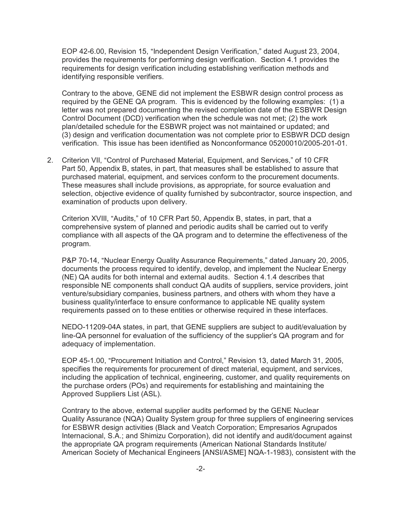EOP 42-6.00, Revision 15, "Independent Design Verification," dated August 23, 2004, provides the requirements for performing design verification. Section 4.1 provides the requirements for design verification including establishing verification methods and identifying responsible verifiers.

Contrary to the above, GENE did not implement the ESBWR design control process as required by the GENE QA program. This is evidenced by the following examples: (1) a letter was not prepared documenting the revised completion date of the ESBWR Design Control Document (DCD) verification when the schedule was not met; (2) the work plan/detailed schedule for the ESBWR project was not maintained or updated; and (3) design and verification documentation was not complete prior to ESBWR DCD design verification. This issue has been identified as Nonconformance 05200010/2005-201-01.

2. Criterion VII, "Control of Purchased Material, Equipment, and Services," of 10 CFR Part 50, Appendix B, states, in part, that measures shall be established to assure that purchased material, equipment, and services conform to the procurement documents. These measures shall include provisions, as appropriate, for source evaluation and selection, objective evidence of quality furnished by subcontractor, source inspection, and examination of products upon delivery.

Criterion XVIII, "Audits," of 10 CFR Part 50, Appendix B, states, in part, that a comprehensive system of planned and periodic audits shall be carried out to verify compliance with all aspects of the QA program and to determine the effectiveness of the program.

P&P 70-14, "Nuclear Energy Quality Assurance Requirements," dated January 20, 2005, documents the process required to identify, develop, and implement the Nuclear Energy (NE) QA audits for both internal and external audits. Section 4.1.4 describes that responsible NE components shall conduct QA audits of suppliers, service providers, joint venture/subsidiary companies, business partners, and others with whom they have a business quality/interface to ensure conformance to applicable NE quality system requirements passed on to these entities or otherwise required in these interfaces.

NEDO-11209-04A states, in part, that GENE suppliers are subject to audit/evaluation by line-QA personnel for evaluation of the sufficiency of the supplier's QA program and for adequacy of implementation.

EOP 45-1.00, "Procurement Initiation and Control," Revision 13, dated March 31, 2005, specifies the requirements for procurement of direct material, equipment, and services, including the application of technical, engineering, customer, and quality requirements on the purchase orders (POs) and requirements for establishing and maintaining the Approved Suppliers List (ASL).

Contrary to the above, external supplier audits performed by the GENE Nuclear Quality Assurance (NQA) Quality System group for three suppliers of engineering services for ESBWR design activities (Black and Veatch Corporation; Empresarios Agrupados Internacional, S.A.; and Shimizu Corporation), did not identify and audit/document against the appropriate QA program requirements (American National Standards Institute/ American Society of Mechanical Engineers [ANSI/ASME] NQA-1-1983), consistent with the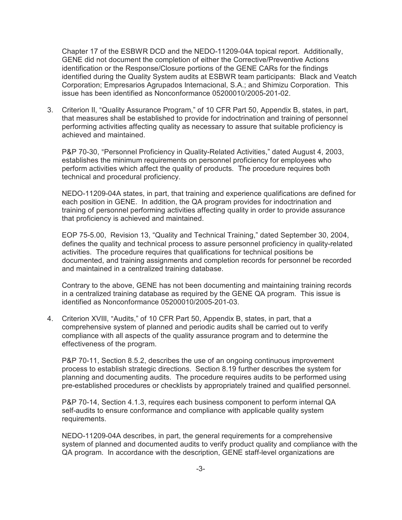Chapter 17 of the ESBWR DCD and the NEDO-11209-04A topical report. Additionally, GENE did not document the completion of either the Corrective/Preventive Actions identification or the Response/Closure portions of the GENE CARs for the findings identified during the Quality System audits at ESBWR team participants: Black and Veatch Corporation; Empresarios Agrupados Internacional, S.A.; and Shimizu Corporation. This issue has been identified as Nonconformance 05200010/2005-201-02.

3. Criterion II, "Quality Assurance Program," of 10 CFR Part 50, Appendix B, states, in part, that measures shall be established to provide for indoctrination and training of personnel performing activities affecting quality as necessary to assure that suitable proficiency is achieved and maintained.

P&P 70-30, "Personnel Proficiency in Quality-Related Activities," dated August 4, 2003, establishes the minimum requirements on personnel proficiency for employees who perform activities which affect the quality of products. The procedure requires both technical and procedural proficiency.

NEDO-11209-04A states, in part, that training and experience qualifications are defined for each position in GENE. In addition, the QA program provides for indoctrination and training of personnel performing activities affecting quality in order to provide assurance that proficiency is achieved and maintained.

EOP 75-5.00, Revision 13, "Quality and Technical Training," dated September 30, 2004, defines the quality and technical process to assure personnel proficiency in quality-related activities. The procedure requires that qualifications for technical positions be documented, and training assignments and completion records for personnel be recorded and maintained in a centralized training database.

Contrary to the above, GENE has not been documenting and maintaining training records in a centralized training database as required by the GENE QA program. This issue is identified as Nonconformance 05200010/2005-201-03.

4. Criterion XVIII, "Audits," of 10 CFR Part 50, Appendix B, states, in part, that a comprehensive system of planned and periodic audits shall be carried out to verify compliance with all aspects of the quality assurance program and to determine the effectiveness of the program.

P&P 70-11, Section 8.5.2, describes the use of an ongoing continuous improvement process to establish strategic directions. Section 8.19 further describes the system for planning and documenting audits. The procedure requires audits to be performed using pre-established procedures or checklists by appropriately trained and qualified personnel.

P&P 70-14, Section 4.1.3, requires each business component to perform internal QA self-audits to ensure conformance and compliance with applicable quality system requirements.

NEDO-11209-04A describes, in part, the general requirements for a comprehensive system of planned and documented audits to verify product quality and compliance with the QA program. In accordance with the description, GENE staff-level organizations are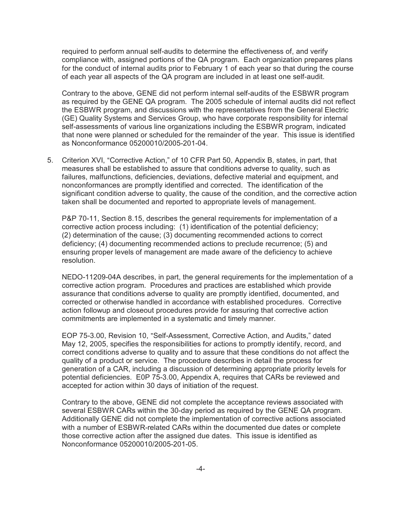required to perform annual self-audits to determine the effectiveness of, and verify compliance with, assigned portions of the QA program. Each organization prepares plans for the conduct of internal audits prior to February 1 of each year so that during the course of each year all aspects of the QA program are included in at least one self-audit.

Contrary to the above, GENE did not perform internal self-audits of the ESBWR program as required by the GENE QA program. The 2005 schedule of internal audits did not reflect the ESBWR program, and discussions with the representatives from the General Electric (GE) Quality Systems and Services Group, who have corporate responsibility for internal self-assessments of various line organizations including the ESBWR program, indicated that none were planned or scheduled for the remainder of the year. This issue is identified as Nonconformance 05200010/2005-201-04.

5. Criterion XVI, "Corrective Action," of 10 CFR Part 50, Appendix B, states, in part, that measures shall be established to assure that conditions adverse to quality, such as failures, malfunctions, deficiencies, deviations, defective material and equipment, and nonconformances are promptly identified and corrected. The identification of the significant condition adverse to quality, the cause of the condition, and the corrective action taken shall be documented and reported to appropriate levels of management.

P&P 70-11, Section 8.15, describes the general requirements for implementation of a corrective action process including: (1) identification of the potential deficiency; (2) determination of the cause; (3) documenting recommended actions to correct deficiency; (4) documenting recommended actions to preclude recurrence; (5) and ensuring proper levels of management are made aware of the deficiency to achieve resolution.

NEDO-11209-04A describes, in part, the general requirements for the implementation of a corrective action program. Procedures and practices are established which provide assurance that conditions adverse to quality are promptly identified, documented, and corrected or otherwise handled in accordance with established procedures. Corrective action followup and closeout procedures provide for assuring that corrective action commitments are implemented in a systematic and timely manner.

EOP 75-3.00, Revision 10, "Self-Assessment, Corrective Action, and Audits," dated May 12, 2005, specifies the responsibilities for actions to promptly identify, record, and correct conditions adverse to quality and to assure that these conditions do not affect the quality of a product or service. The procedure describes in detail the process for generation of a CAR, including a discussion of determining appropriate priority levels for potential deficiencies. E0P 75-3.00, Appendix A, requires that CARs be reviewed and accepted for action within 30 days of initiation of the request.

Contrary to the above, GENE did not complete the acceptance reviews associated with several ESBWR CARs within the 30-day period as required by the GENE QA program. Additionally GENE did not complete the implementation of corrective actions associated with a number of ESBWR-related CARs within the documented due dates or complete those corrective action after the assigned due dates. This issue is identified as Nonconformance 05200010/2005-201-05.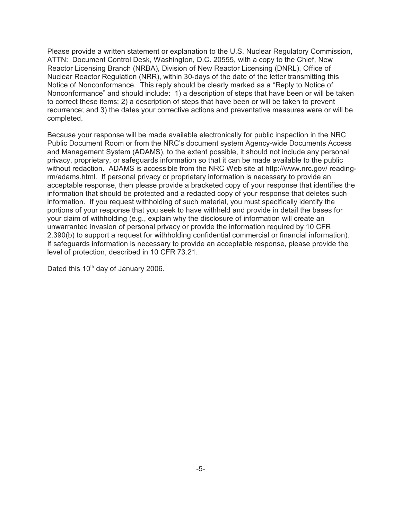Please provide a written statement or explanation to the U.S. Nuclear Regulatory Commission, ATTN: Document Control Desk, Washington, D.C. 20555, with a copy to the Chief, New Reactor Licensing Branch (NRBA), Division of New Reactor Licensing (DNRL), Office of Nuclear Reactor Regulation (NRR), within 30-days of the date of the letter transmitting this Notice of Nonconformance. This reply should be clearly marked as a "Reply to Notice of Nonconformance" and should include: 1) a description of steps that have been or will be taken to correct these items; 2) a description of steps that have been or will be taken to prevent recurrence; and 3) the dates your corrective actions and preventative measures were or will be completed.

Because your response will be made available electronically for public inspection in the NRC Public Document Room or from the NRC's document system Agency-wide Documents Access and Management System (ADAMS), to the extent possible, it should not include any personal privacy, proprietary, or safeguards information so that it can be made available to the public without redaction. ADAMS is accessible from the NRC Web site at http://www.nrc.gov/ readingrm/adams.html. If personal privacy or proprietary information is necessary to provide an acceptable response, then please provide a bracketed copy of your response that identifies the information that should be protected and a redacted copy of your response that deletes such information. If you request withholding of such material, you must specifically identify the portions of your response that you seek to have withheld and provide in detail the bases for your claim of withholding (e.g., explain why the disclosure of information will create an unwarranted invasion of personal privacy or provide the information required by 10 CFR 2.390(b) to support a request for withholding confidential commercial or financial information). If safeguards information is necessary to provide an acceptable response, please provide the level of protection, described in 10 CFR 73.21.

Dated this 10<sup>th</sup> day of January 2006.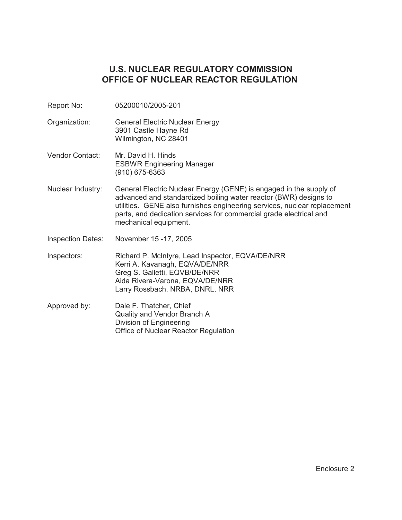# **U.S. NUCLEAR REGULATORY COMMISSION OFFICE OF NUCLEAR REACTOR REGULATION**

- Report No: 05200010/2005-201
- Organization: General Electric Nuclear Energy 3901 Castle Hayne Rd Wilmington, NC 28401
- Vendor Contact: Mr. David H. Hinds ESBWR Engineering Manager (910) 675-6363
- Nuclear Industry: General Electric Nuclear Energy (GENE) is engaged in the supply of advanced and standardized boiling water reactor (BWR) designs to utilities. GENE also furnishes engineering services, nuclear replacement parts, and dedication services for commercial grade electrical and mechanical equipment.
- Inspection Dates: November 15 -17, 2005
- Inspectors: Richard P. McIntyre, Lead Inspector, EQVA/DE/NRR Kerri A. Kavanagh, EQVA/DE/NRR Greg S. Galletti, EQVB/DE/NRR Aida Rivera-Varona, EQVA/DE/NRR Larry Rossbach, NRBA, DNRL, NRR
- Approved by: Dale F. Thatcher, Chief Quality and Vendor Branch A Division of Engineering Office of Nuclear Reactor Regulation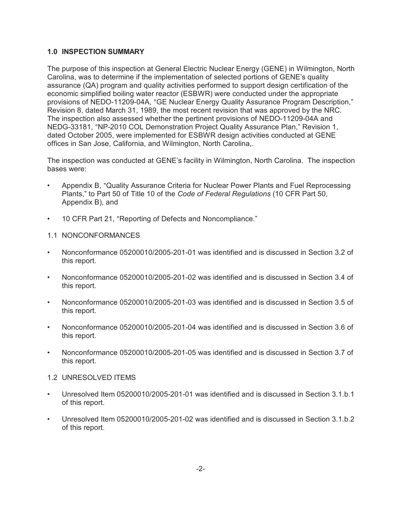## **1.0 INSPECTION SUMMARY**

The purpose of this inspection at General Electric Nuclear Energy (GENE) in Wilmington, North Carolina, was to determine if the implementation of selected portions of GENE's quality assurance (QA) program and quality activities performed to support design certification of the economic simplified boiling water reactor (ESBWR) were conducted under the appropriate provisions of NEDO-11209-04A, "GE Nuclear Energy Quality Assurance Program Description." Revision 8, dated March 31, 1989, the most recent revision that was approved by the NRC. The inspection also assessed whether the pertinent provisions of NEDO-11209-04A and NEDG-33181, "NP-2010 COL Demonstration Project Quality Assurance Plan," Revision 1, dated October 2005, were implemented for ESBWR design activities conducted at GENE offices in San Jose, California, and Wilmington, North Carolina,.

The inspection was conducted at GENE's facility in Wilmington, North Carolina. The inspection bases were:

- Appendix B, "Quality Assurance Criteria for Nuclear Power Plants and Fuel Reprocessing Plants," to Part 50 of Title 10 of the *Code of Federal Regulations* (10 CFR Part 50, Appendix B), and
- 10 CFR Part 21, "Reporting of Defects and Noncompliance."
- 1.1 NONCONFORMANCES
- Nonconformance 05200010/2005-201-01 was identified and is discussed in Section 3.2 of this report.
- Nonconformance 05200010/2005-201-02 was identified and is discussed in Section 3.4 of this report.
- Nonconformance 05200010/2005-201-03 was identified and is discussed in Section 3.5 of this report.
- Nonconformance 05200010/2005-201-04 was identified and is discussed in Section 3.6 of this report.
- Nonconformance 05200010/2005-201-05 was identified and is discussed in Section 3.7 of this report.
- 1.2 UNRESOLVED ITEMS
- Unresolved Item 05200010/2005-201-01 was identified and is discussed in Section 3.1.b.1 of this report.
- Unresolved Item 05200010/2005-201-02 was identified and is discussed in Section 3.1.b.2 of this report.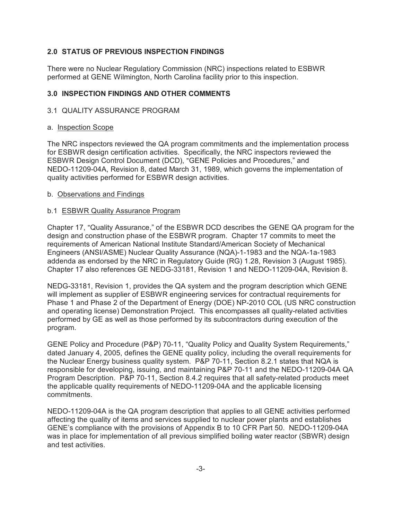## **2.0 STATUS OF PREVIOUS INSPECTION FINDINGS**

There were no Nuclear Regulatiory Commission (NRC) inspections related to ESBWR performed at GENE Wilmington, North Carolina facility prior to this inspection.

## **3.0 INSPECTION FINDINGS AND OTHER COMMENTS**

#### 3.1 QUALITY ASSURANCE PROGRAM

#### a. Inspection Scope

The NRC inspectors reviewed the QA program commitments and the implementation process for ESBWR design certification activities. Specifically, the NRC inspectors reviewed the ESBWR Design Control Document (DCD), "GENE Policies and Procedures," and NEDO-11209-04A, Revision 8, dated March 31, 1989, which governs the implementation of quality activities performed for ESBWR design activities.

#### b. Observations and Findings

#### b.1 ESBWR Quality Assurance Program

Chapter 17, "Quality Assurance," of the ESBWR DCD describes the GENE QA program for the design and construction phase of the ESBWR program. Chapter 17 commits to meet the requirements of American National Institute Standard/American Society of Mechanical Engineers (ANSI/ASME) Nuclear Quality Assurance (NQA)-1-1983 and the NQA-1a-1983 addenda as endorsed by the NRC in Regulatory Guide (RG) 1.28, Revision 3 (August 1985). Chapter 17 also references GE NEDG-33181, Revision 1 and NEDO-11209-04A, Revision 8.

NEDG-33181, Revision 1, provides the QA system and the program description which GENE will implement as supplier of ESBWR engineering services for contractual requirements for Phase 1 and Phase 2 of the Department of Energy (DOE) NP-2010 COL (US NRC construction and operating license) Demonstration Project. This encompasses all quality-related activities performed by GE as well as those performed by its subcontractors during execution of the program.

GENE Policy and Procedure (P&P) 70-11, "Quality Policy and Quality System Requirements," dated January 4, 2005, defines the GENE quality policy, including the overall requirements for the Nuclear Energy business quality system. P&P 70-11, Section 8.2.1 states that NQA is responsible for developing, issuing, and maintaining P&P 70-11 and the NEDO-11209-04A QA Program Description. P&P 70-11, Section 8.4.2 requires that all safety-related products meet the applicable quality requirements of NEDO-11209-04A and the applicable licensing commitments.

NEDO-11209-04A is the QA program description that applies to all GENE activities performed affecting the quality of items and services supplied to nuclear power plants and establishes GENE's compliance with the provisions of Appendix B to 10 CFR Part 50. NEDO-11209-04A was in place for implementation of all previous simplified boiling water reactor (SBWR) design and test activities.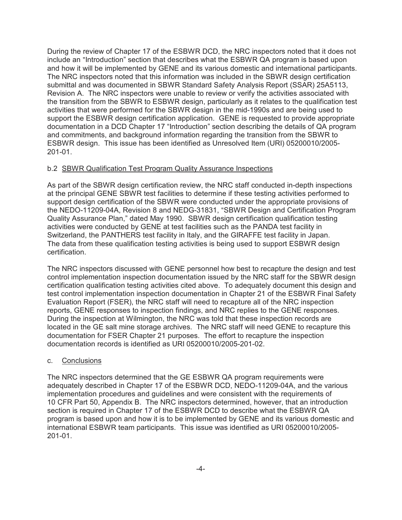During the review of Chapter 17 of the ESBWR DCD, the NRC inspectors noted that it does not include an "Introduction" section that describes what the ESBWR QA program is based upon and how it will be implemented by GENE and its various domestic and international participants. The NRC inspectors noted that this information was included in the SBWR design certification submittal and was documented in SBWR Standard Safety Analysis Report (SSAR) 25A5113, Revision A. The NRC inspectors were unable to review or verify the activities associated with the transition from the SBWR to ESBWR design, particularly as it relates to the qualification test activities that were performed for the SBWR design in the mid-1990s and are being used to support the ESBWR design certification application. GENE is requested to provide appropriate documentation in a DCD Chapter 17 "Introduction" section describing the details of QA program and commitments, and background information regarding the transition from the SBWR to ESBWR design. This issue has been identified as Unresolved Item (URI) 05200010/2005- 201-01.

## b.2 SBWR Qualification Test Program Quality Assurance Inspections

As part of the SBWR design certification review, the NRC staff conducted in-depth inspections at the principal GENE SBWR test facilities to determine if these testing activities performed to support design certification of the SBWR were conducted under the appropriate provisions of the NEDO-11209-04A, Revision 8 and NEDG-31831, "SBWR Design and Certification Program Quality Assurance Plan," dated May 1990. SBWR design certification qualification testing activities were conducted by GENE at test facilities such as the PANDA test facility in Switzerland, the PANTHERS test facility in Italy, and the GIRAFFE test facility in Japan. The data from these qualification testing activities is being used to support ESBWR design certification.

The NRC inspectors discussed with GENE personnel how best to recapture the design and test control implementation inspection documentation issued by the NRC staff for the SBWR design certification qualification testing activities cited above. To adequately document this design and test control implementation inspection documentation in Chapter 21 of the ESBWR Final Safety Evaluation Report (FSER), the NRC staff will need to recapture all of the NRC inspection reports, GENE responses to inspection findings, and NRC replies to the GENE responses. During the inspection at Wilmington, the NRC was told that these inspection records are located in the GE salt mine storage archives. The NRC staff will need GENE to recapture this documentation for FSER Chapter 21 purposes. The effort to recapture the inspection documentation records is identified as URI 05200010/2005-201-02.

#### c. Conclusions

The NRC inspectors determined that the GE ESBWR QA program requirements were adequately described in Chapter 17 of the ESBWR DCD, NEDO-11209-04A, and the various implementation procedures and guidelines and were consistent with the requirements of 10 CFR Part 50, Appendix B. The NRC inspectors determined, however, that an introduction section is required in Chapter 17 of the ESBWR DCD to describe what the ESBWR QA program is based upon and how it is to be implemented by GENE and its various domestic and international ESBWR team participants. This issue was identified as URI 05200010/2005- 201-01.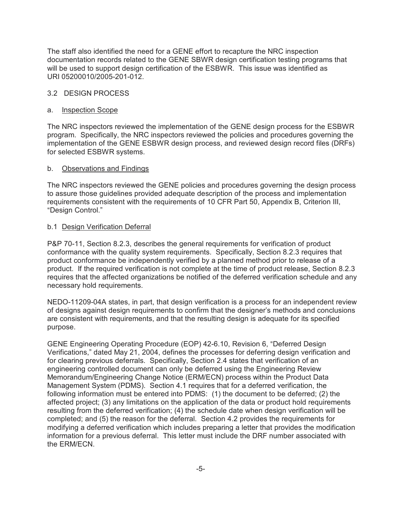The staff also identified the need for a GENE effort to recapture the NRC inspection documentation records related to the GENE SBWR design certification testing programs that will be used to support design certification of the ESBWR. This issue was identified as URI 05200010/2005-201-012.

## 3.2 DESIGN PROCESS

#### a. Inspection Scope

The NRC inspectors reviewed the implementation of the GENE design process for the ESBWR program. Specifically, the NRC inspectors reviewed the policies and procedures governing the implementation of the GENE ESBWR design process, and reviewed design record files (DRFs) for selected ESBWR systems.

#### b. Observations and Findings

The NRC inspectors reviewed the GENE policies and procedures governing the design process to assure those guidelines provided adequate description of the process and implementation requirements consistent with the requirements of 10 CFR Part 50, Appendix B, Criterion III, ?Design Control."

### b.1 Design Verification Deferral

P&P 70-11, Section 8.2.3, describes the general requirements for verification of product conformance with the quality system requirements. Specifically, Section 8.2.3 requires that product conformance be independently verified by a planned method prior to release of a product. If the required verification is not complete at the time of product release, Section 8.2.3 requires that the affected organizations be notified of the deferred verification schedule and any necessary hold requirements.

NEDO-11209-04A states, in part, that design verification is a process for an independent review of designs against design requirements to confirm that the designer's methods and conclusions are consistent with requirements, and that the resulting design is adequate for its specified purpose.

GENE Engineering Operating Procedure (EOP) 42-6.10, Revision 6, "Deferred Design Verifications," dated May 21, 2004, defines the processes for deferring design verification and for clearing previous deferrals. Specifically, Section 2.4 states that verification of an engineering controlled document can only be deferred using the Engineering Review Memorandum/Engineering Change Notice (ERM/ECN) process within the Product Data Management System (PDMS). Section 4.1 requires that for a deferred verification, the following information must be entered into PDMS: (1) the document to be deferred; (2) the affected project; (3) any limitations on the application of the data or product hold requirements resulting from the deferred verification; (4) the schedule date when design verification will be completed; and (5) the reason for the deferral. Section 4.2 provides the requirements for modifying a deferred verification which includes preparing a letter that provides the modification information for a previous deferral. This letter must include the DRF number associated with the ERM/ECN.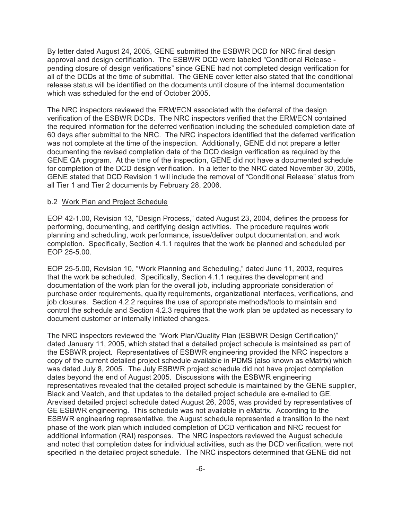By letter dated August 24, 2005, GENE submitted the ESBWR DCD for NRC final design approval and design certification. The ESBWR DCD were labeled "Conditional Release pending closure of design verifications" since GENE had not completed design verification for all of the DCDs at the time of submittal. The GENE cover letter also stated that the conditional release status will be identified on the documents until closure of the internal documentation which was scheduled for the end of October 2005.

The NRC inspectors reviewed the ERM/ECN associated with the deferral of the design verification of the ESBWR DCDs. The NRC inspectors verified that the ERM/ECN contained the required information for the deferred verification including the scheduled completion date of 60 days after submittal to the NRC. The NRC inspectors identified that the deferred verification was not complete at the time of the inspection. Additionally, GENE did not prepare a letter documenting the revised completion date of the DCD design verification as required by the GENE QA program. At the time of the inspection, GENE did not have a documented schedule for completion of the DCD design verification. In a letter to the NRC dated November 30, 2005, GENE stated that DCD Revision 1 will include the removal of "Conditional Release" status from all Tier 1 and Tier 2 documents by February 28, 2006.

#### b.2 Work Plan and Project Schedule

EOP 42-1.00, Revision 13, "Design Process," dated August 23, 2004, defines the process for performing, documenting, and certifying design activities. The procedure requires work planning and scheduling, work performance, issue/deliver output documentation, and work completion. Specifically, Section 4.1.1 requires that the work be planned and scheduled per EOP 25-5.00.

EOP 25-5.00, Revision 10, "Work Planning and Scheduling," dated June 11, 2003, requires that the work be scheduled. Specifically, Section 4.1.1 requires the development and documentation of the work plan for the overall job, including appropriate consideration of purchase order requirements, quality requirements, organizational interfaces, verifications, and job closures. Section 4.2.2 requires the use of appropriate methods/tools to maintain and control the schedule and Section 4.2.3 requires that the work plan be updated as necessary to document customer or internally initiated changes.

The NRC inspectors reviewed the "Work Plan/Quality Plan (ESBWR Design Certification)" dated January 11, 2005, which stated that a detailed project schedule is maintained as part of the ESBWR project. Representatives of ESBWR engineering provided the NRC inspectors a copy of the current detailed project schedule available in PDMS (also known as eMatrix) which was dated July 8, 2005. The July ESBWR project schedule did not have project completion dates beyond the end of August 2005. Discussions with the ESBWR engineering representatives revealed that the detailed project schedule is maintained by the GENE supplier, Black and Veatch, and that updates to the detailed project schedule are e-mailed to GE. Arevised detailed project schedule dated August 26, 2005, was provided by representatives of GE ESBWR engineering. This schedule was not available in eMatrix. According to the ESBWR engineering representative, the August schedule represented a transition to the next phase of the work plan which included completion of DCD verification and NRC request for additional information (RAI) responses. The NRC inspectors reviewed the August schedule and noted that completion dates for individual activities, such as the DCD verification, were not specified in the detailed project schedule. The NRC inspectors determined that GENE did not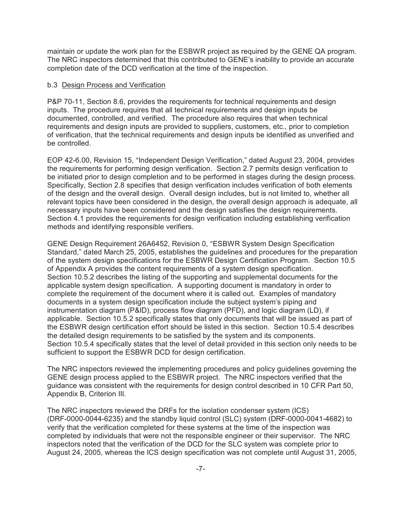maintain or update the work plan for the ESBWR project as required by the GENE QA program. The NRC inspectors determined that this contributed to GENE's inability to provide an accurate completion date of the DCD verification at the time of the inspection.

### b.3 Design Process and Verification

P&P 70-11, Section 8.6, provides the requirements for technical requirements and design inputs. The procedure requires that all technical requirements and design inputs be documented, controlled, and verified. The procedure also requires that when technical requirements and design inputs are provided to suppliers, customers, etc., prior to completion of verification, that the technical requirements and design inputs be identified as unverified and be controlled.

EOP 42-6.00, Revision 15, "Independent Design Verification," dated August 23, 2004, provides the requirements for performing design verification. Section 2.7 permits design verification to be initiated prior to design completion and to be performed in stages during the design process. Specifically, Section 2.8 specifies that design verification includes verification of both elements of the design and the overall design. Overall design includes, but is not limited to, whether all relevant topics have been considered in the design, the overall design approach is adequate, all necessary inputs have been considered and the design satisfies the design requirements. Section 4.1 provides the requirements for design verification including establishing verification methods and identifying responsible verifiers.

GENE Design Requirement 26A6452, Revision 0, "ESBWR System Design Specification Standard," dated March 25, 2005, establishes the guidelines and procedures for the preparation of the system design specifications for the ESBWR Design Certification Program. Section 10.5 of Appendix A provides the content requirements of a system design specification. Section 10.5.2 describes the listing of the supporting and supplemental documents for the applicable system design specification. A supporting document is mandatory in order to complete the requirement of the document where it is called out. Examples of mandatory documents in a system design specification include the subject system's piping and instrumentation diagram (P&ID), process flow diagram (PFD), and logic diagram (LD), if applicable. Section 10.5.2 specifically states that only documents that will be issued as part of the ESBWR design certification effort should be listed in this section. Section 10.5.4 describes the detailed design requirements to be satisfied by the system and its components. Section 10.5.4 specifically states that the level of detail provided in this section only needs to be sufficient to support the ESBWR DCD for design certification.

The NRC inspectors reviewed the implementing procedures and policy guidelines governing the GENE design process applied to the ESBWR project. The NRC inspectors verified that the guidance was consistent with the requirements for design control described in 10 CFR Part 50, Appendix B, Criterion III.

The NRC inspectors reviewed the DRFs for the isolation condenser system (ICS) (DRF-0000-0044-6235) and the standby liquid control (SLC) system (DRF-0000-0041-4682) to verify that the verification completed for these systems at the time of the inspection was completed by individuals that were not the responsible engineer or their supervisor. The NRC inspectors noted that the verification of the DCD for the SLC system was complete prior to August 24, 2005, whereas the ICS design specification was not complete until August 31, 2005,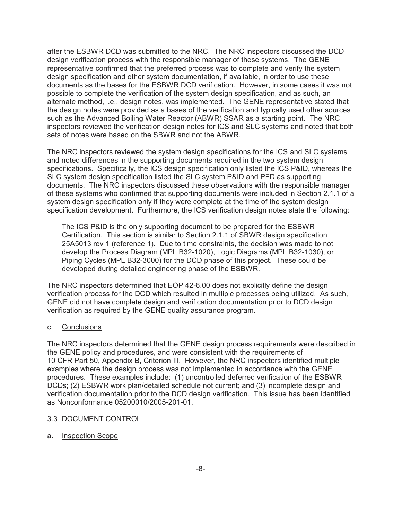after the ESBWR DCD was submitted to the NRC. The NRC inspectors discussed the DCD design verification process with the responsible manager of these systems. The GENE representative confirmed that the preferred process was to complete and verify the system design specification and other system documentation, if available, in order to use these documents as the bases for the ESBWR DCD verification. However, in some cases it was not possible to complete the verification of the system design specification, and as such, an alternate method, i.e., design notes, was implemented. The GENE representative stated that the design notes were provided as a bases of the verification and typically used other sources such as the Advanced Boiling Water Reactor (ABWR) SSAR as a starting point. The NRC inspectors reviewed the verification design notes for ICS and SLC systems and noted that both sets of notes were based on the SBWR and not the ABWR.

The NRC inspectors reviewed the system design specifications for the ICS and SLC systems and noted differences in the supporting documents required in the two system design specifications. Specifically, the ICS design specification only listed the ICS P&ID, whereas the SLC system design specification listed the SLC system P&ID and PFD as supporting documents. The NRC inspectors discussed these observations with the responsible manager of these systems who confirmed that supporting documents were included in Section 2.1.1 of a system design specification only if they were complete at the time of the system design specification development. Furthermore, the ICS verification design notes state the following:

The ICS P&ID is the only supporting document to be prepared for the ESBWR Certification. This section is similar to Section 2.1.1 of SBWR design specification 25A5013 rev 1 (reference 1). Due to time constraints, the decision was made to not develop the Process Diagram (MPL B32-1020), Logic Diagrams (MPL B32-1030), or Piping Cycles (MPL B32-3000) for the DCD phase of this project. These could be developed during detailed engineering phase of the ESBWR.

The NRC inspectors determined that EOP 42-6.00 does not explicitly define the design verification process for the DCD which resulted in multiple processes being utilized. As such, GENE did not have complete design and verification documentation prior to DCD design verification as required by the GENE quality assurance program.

## c. Conclusions

The NRC inspectors determined that the GENE design process requirements were described in the GENE policy and procedures, and were consistent with the requirements of 10 CFR Part 50, Appendix B, Criterion III. However, the NRC inspectors identified multiple examples where the design process was not implemented in accordance with the GENE procedures. These examples include: (1) uncontrolled deferred verification of the ESBWR DCDs; (2) ESBWR work plan/detailed schedule not current; and (3) incomplete design and verification documentation prior to the DCD design verification. This issue has been identified as Nonconformance 05200010/2005-201-01.

## 3.3 DOCUMENT CONTROL

## a. Inspection Scope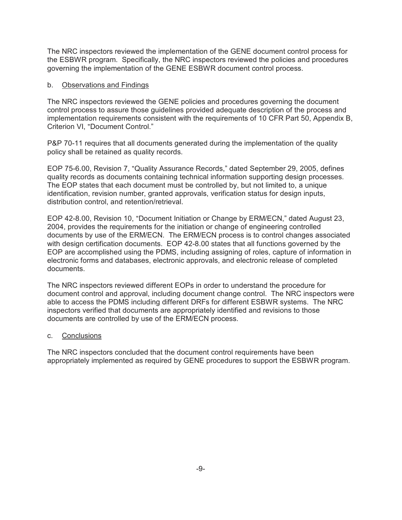The NRC inspectors reviewed the implementation of the GENE document control process for the ESBWR program. Specifically, the NRC inspectors reviewed the policies and procedures governing the implementation of the GENE ESBWR document control process.

### b. Observations and Findings

The NRC inspectors reviewed the GENE policies and procedures governing the document control process to assure those guidelines provided adequate description of the process and implementation requirements consistent with the requirements of 10 CFR Part 50, Appendix B, Criterion VI, "Document Control."

P&P 70-11 requires that all documents generated during the implementation of the quality policy shall be retained as quality records.

EOP 75-6.00, Revision 7, "Quality Assurance Records," dated September 29, 2005, defines quality records as documents containing technical information supporting design processes. The EOP states that each document must be controlled by, but not limited to, a unique identification, revision number, granted approvals, verification status for design inputs, distribution control, and retention/retrieval.

EOP 42-8.00, Revision 10, "Document Initiation or Change by ERM/ECN," dated August 23, 2004, provides the requirements for the initiation or change of engineering controlled documents by use of the ERM/ECN. The ERM/ECN process is to control changes associated with design certification documents. EOP 42-8.00 states that all functions governed by the EOP are accomplished using the PDMS, including assigning of roles, capture of information in electronic forms and databases, electronic approvals, and electronic release of completed documents.

The NRC inspectors reviewed different EOPs in order to understand the procedure for document control and approval, including document change control. The NRC inspectors were able to access the PDMS including different DRFs for different ESBWR systems. The NRC inspectors verified that documents are appropriately identified and revisions to those documents are controlled by use of the ERM/ECN process.

## c. Conclusions

The NRC inspectors concluded that the document control requirements have been appropriately implemented as required by GENE procedures to support the ESBWR program.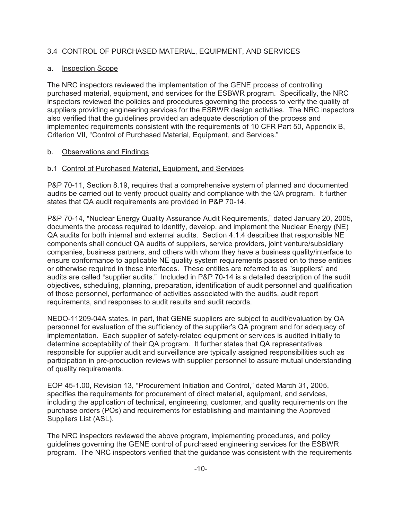## 3.4 CONTROL OF PURCHASED MATERIAL, EQUIPMENT, AND SERVICES

## a. Inspection Scope

The NRC inspectors reviewed the implementation of the GENE process of controlling purchased material, equipment, and services for the ESBWR program. Specifically, the NRC inspectors reviewed the policies and procedures governing the process to verify the quality of suppliers providing engineering services for the ESBWR design activities. The NRC inspectors also verified that the guidelines provided an adequate description of the process and implemented requirements consistent with the requirements of 10 CFR Part 50, Appendix B, Criterion VII, "Control of Purchased Material, Equipment, and Services."

### b. Observations and Findings

### b.1 Control of Purchased Material, Equipment, and Services

P&P 70-11, Section 8.19, requires that a comprehensive system of planned and documented audits be carried out to verify product quality and compliance with the QA program. It further states that QA audit requirements are provided in P&P 70-14.

P&P 70-14, "Nuclear Energy Quality Assurance Audit Requirements," dated January 20, 2005, documents the process required to identify, develop, and implement the Nuclear Energy (NE) QA audits for both internal and external audits. Section 4.1.4 describes that responsible NE components shall conduct QA audits of suppliers, service providers, joint venture/subsidiary companies, business partners, and others with whom they have a business quality/interface to ensure conformance to applicable NE quality system requirements passed on to these entities or otherwise required in these interfaces. These entities are referred to as "suppliers" and audits are called "supplier audits." Included in P&P 70-14 is a detailed description of the audit objectives, scheduling, planning, preparation, identification of audit personnel and qualification of those personnel, performance of activities associated with the audits, audit report requirements, and responses to audit results and audit records.

NEDO-11209-04A states, in part, that GENE suppliers are subject to audit/evaluation by QA personnel for evaluation of the sufficiency of the supplier's QA program and for adequacy of implementation. Each supplier of safety-related equipment or services is audited initially to determine acceptability of their QA program. It further states that QA representatives responsible for supplier audit and surveillance are typically assigned responsibilities such as participation in pre-production reviews with supplier personnel to assure mutual understanding of quality requirements.

EOP 45-1.00, Revision 13, "Procurement Initiation and Control," dated March 31, 2005, specifies the requirements for procurement of direct material, equipment, and services, including the application of technical, engineering, customer, and quality requirements on the purchase orders (POs) and requirements for establishing and maintaining the Approved Suppliers List (ASL).

The NRC inspectors reviewed the above program, implementing procedures, and policy guidelines governing the GENE control of purchased engineering services for the ESBWR program. The NRC inspectors verified that the guidance was consistent with the requirements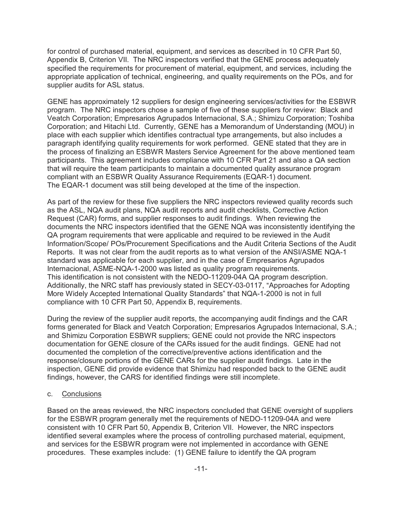for control of purchased material, equipment, and services as described in 10 CFR Part 50, Appendix B, Criterion VII. The NRC inspectors verified that the GENE process adequately specified the requirements for procurement of material, equipment, and services, including the appropriate application of technical, engineering, and quality requirements on the POs, and for supplier audits for ASL status.

GENE has approximately 12 suppliers for design engineering services/activities for the ESBWR program. The NRC inspectors chose a sample of five of these suppliers for review: Black and Veatch Corporation; Empresarios Agrupados Internacional, S.A.; Shimizu Corporation; Toshiba Corporation; and Hitachi Ltd. Currently, GENE has a Memorandum of Understanding (MOU) in place with each supplier which identifies contractual type arrangements, but also includes a paragraph identifying quality requirements for work performed. GENE stated that they are in the process of finalizing an ESBWR Masters Service Agreement for the above mentioned team participants. This agreement includes compliance with 10 CFR Part 21 and also a QA section that will require the team participants to maintain a documented quality assurance program compliant with an ESBWR Quality Assurance Requirements (EQAR-1) document. The EQAR-1 document was still being developed at the time of the inspection.

As part of the review for these five suppliers the NRC inspectors reviewed quality records such as the ASL, NQA audit plans, NQA audit reports and audit checklists, Corrective Action Request (CAR) forms, and supplier responses to audit findings. When reviewing the documents the NRC inspectors identified that the GENE NQA was inconsistently identifying the QA program requirements that were applicable and required to be reviewed in the Audit Information/Scope/ POs/Procurement Specifications and the Audit Criteria Sections of the Audit Reports. It was not clear from the audit reports as to what version of the ANSI/ASME NQA-1 standard was applicable for each supplier, and in the case of Empresarios Agrupados Internacional, ASME-NQA-1-2000 was listed as quality program requirements. This identification is not consistent with the NEDO-11209-04A QA program description. Additionally, the NRC staff has previously stated in SECY-03-0117, "Approaches for Adopting More Widely Accepted International Quality Standards" that NQA-1-2000 is not in full compliance with 10 CFR Part 50, Appendix B, requirements.

During the review of the supplier audit reports, the accompanying audit findings and the CAR forms generated for Black and Veatch Corporation; Empresarios Agrupados Internacional, S.A.; and Shimizu Corporation ESBWR suppliers; GENE could not provide the NRC inspectors documentation for GENE closure of the CARs issued for the audit findings. GENE had not documented the completion of the corrective/preventive actions identification and the response/closure portions of the GENE CARs for the supplier audit findings. Late in the inspection, GENE did provide evidence that Shimizu had responded back to the GENE audit findings, however, the CARS for identified findings were still incomplete.

#### c. Conclusions

Based on the areas reviewed, the NRC inspectors concluded that GENE oversight of suppliers for the ESBWR program generally met the requirements of NEDO-11209-04A and were consistent with 10 CFR Part 50, Appendix B, Criterion VII. However, the NRC inspectors identified several examples where the process of controlling purchased material, equipment, and services for the ESBWR program were not implemented in accordance with GENE procedures. These examples include: (1) GENE failure to identify the QA program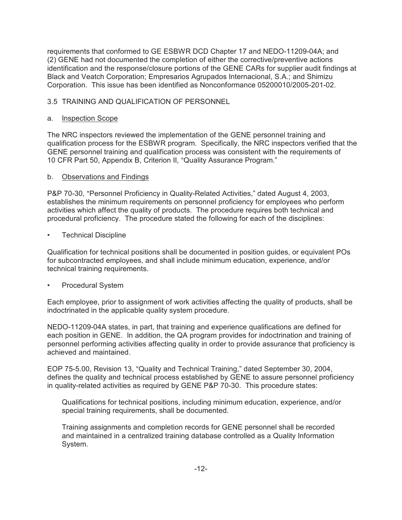requirements that conformed to GE ESBWR DCD Chapter 17 and NEDO-11209-04A; and (2) GENE had not documented the completion of either the corrective/preventive actions identification and the response/closure portions of the GENE CARs for supplier audit findings at Black and Veatch Corporation; Empresarios Agrupados Internacional, S.A.; and Shimizu Corporation. This issue has been identified as Nonconformance 05200010/2005-201-02.

## 3.5 TRAINING AND QUALIFICATION OF PERSONNEL

## a. Inspection Scope

The NRC inspectors reviewed the implementation of the GENE personnel training and qualification process for the ESBWR program. Specifically, the NRC inspectors verified that the GENE personnel training and qualification process was consistent with the requirements of 10 CFR Part 50, Appendix B, Criterion II, "Quality Assurance Program."

## b. Observations and Findings

P&P 70-30, "Personnel Proficiency in Quality-Related Activities," dated August 4, 2003, establishes the minimum requirements on personnel proficiency for employees who perform activities which affect the quality of products. The procedure requires both technical and procedural proficiency. The procedure stated the following for each of the disciplines:

• Technical Discipline

Qualification for technical positions shall be documented in position guides, or equivalent POs for subcontracted employees, and shall include minimum education, experience, and/or technical training requirements.

• Procedural System

Each employee, prior to assignment of work activities affecting the quality of products, shall be indoctrinated in the applicable quality system procedure.

NEDO-11209-04A states, in part, that training and experience qualifications are defined for each position in GENE. In addition, the QA program provides for indoctrination and training of personnel performing activities affecting quality in order to provide assurance that proficiency is achieved and maintained.

EOP 75-5.00, Revision 13, "Quality and Technical Training," dated September 30, 2004, defines the quality and technical process established by GENE to assure personnel proficiency in quality-related activities as required by GENE P&P 70-30. This procedure states:

Qualifications for technical positions, including minimum education, experience, and/or special training requirements, shall be documented.

Training assignments and completion records for GENE personnel shall be recorded and maintained in a centralized training database controlled as a Quality Information System.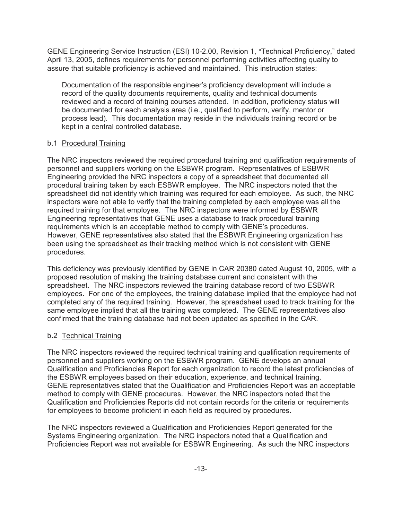GENE Engineering Service Instruction (ESI) 10-2.00, Revision 1, "Technical Proficiency," dated April 13, 2005, defines requirements for personnel performing activities affecting quality to assure that suitable proficiency is achieved and maintained. This instruction states:

Documentation of the responsible engineer's proficiency development will include a record of the quality documents requirements, quality and technical documents reviewed and a record of training courses attended. In addition, proficiency status will be documented for each analysis area (i.e., qualified to perform, verify, mentor or process lead). This documentation may reside in the individuals training record or be kept in a central controlled database.

## b.1 Procedural Training

The NRC inspectors reviewed the required procedural training and qualification requirements of personnel and suppliers working on the ESBWR program. Representatives of ESBWR Engineering provided the NRC inspectors a copy of a spreadsheet that documented all procedural training taken by each ESBWR employee. The NRC inspectors noted that the spreadsheet did not identify which training was required for each employee. As such, the NRC inspectors were not able to verify that the training completed by each employee was all the required training for that employee. The NRC inspectors were informed by ESBWR Engineering representatives that GENE uses a database to track procedural training requirements which is an acceptable method to comply with GENE's procedures. However, GENE representatives also stated that the ESBWR Engineering organization has been using the spreadsheet as their tracking method which is not consistent with GENE procedures.

This deficiency was previously identified by GENE in CAR 20380 dated August 10, 2005, with a proposed resolution of making the training database current and consistent with the spreadsheet. The NRC inspectors reviewed the training database record of two ESBWR employees. For one of the employees, the training database implied that the employee had not completed any of the required training. However, the spreadsheet used to track training for the same employee implied that all the training was completed. The GENE representatives also confirmed that the training database had not been updated as specified in the CAR.

## b.2 Technical Training

The NRC inspectors reviewed the required technical training and qualification requirements of personnel and suppliers working on the ESBWR program. GENE develops an annual Qualification and Proficiencies Report for each organization to record the latest proficiencies of the ESBWR employees based on their education, experience, and technical training. GENE representatives stated that the Qualification and Proficiencies Report was an acceptable method to comply with GENE procedures. However, the NRC inspectors noted that the Qualification and Proficiencies Reports did not contain records for the criteria or requirements for employees to become proficient in each field as required by procedures.

The NRC inspectors reviewed a Qualification and Proficiencies Report generated for the Systems Engineering organization. The NRC inspectors noted that a Qualification and Proficiencies Report was not available for ESBWR Engineering. As such the NRC inspectors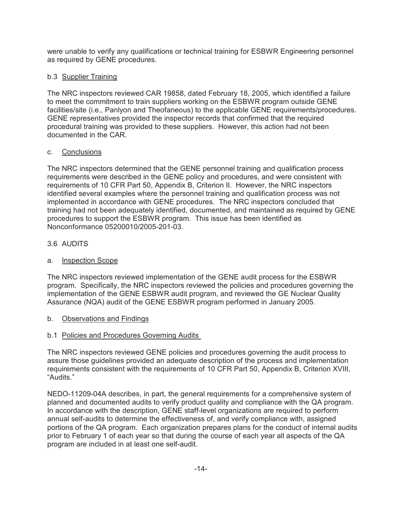were unable to verify any qualifications or technical training for ESBWR Engineering personnel as required by GENE procedures.

## b.3 Supplier Training

The NRC inspectors reviewed CAR 19858, dated February 18, 2005, which identified a failure to meet the commitment to train suppliers working on the ESBWR program outside GENE facilities/site (i.e., Panlyon and Theofaneous) to the applicable GENE requirements/procedures. GENE representatives provided the inspector records that confirmed that the required procedural training was provided to these suppliers. However, this action had not been documented in the CAR.

## c. Conclusions

The NRC inspectors determined that the GENE personnel training and qualification process requirements were described in the GENE policy and procedures, and were consistent with requirements of 10 CFR Part 50, Appendix B, Criterion II. However, the NRC inspectors identified several examples where the personnel training and qualification process was not implemented in accordance with GENE procedures. The NRC inspectors concluded that training had not been adequately identified, documented, and maintained as required by GENE procedures to support the ESBWR program. This issue has been identified as Nonconformance 05200010/2005-201-03.

## 3.6 AUDITS

## a. Inspection Scope

The NRC inspectors reviewed implementation of the GENE audit process for the ESBWR program. Specifically, the NRC inspectors reviewed the policies and procedures governing the implementation of the GENE ESBWR audit program, and reviewed the GE Nuclear Quality Assurance (NQA) audit of the GENE ESBWR program performed in January 2005.

## b. Observations and Findings

## b.1 Policies and Procedures Governing Audits

The NRC inspectors reviewed GENE policies and procedures governing the audit process to assure those guidelines provided an adequate description of the process and implementation requirements consistent with the requirements of 10 CFR Part 50, Appendix B, Criterion XVIII, "Audits."

NEDO-11209-04A describes, in part, the general requirements for a comprehensive system of planned and documented audits to verify product quality and compliance with the QA program. In accordance with the description, GENE staff-level organizations are required to perform annual self-audits to determine the effectiveness of, and verify compliance with, assigned portions of the QA program. Each organization prepares plans for the conduct of internal audits prior to February 1 of each year so that during the course of each year all aspects of the QA program are included in at least one self-audit.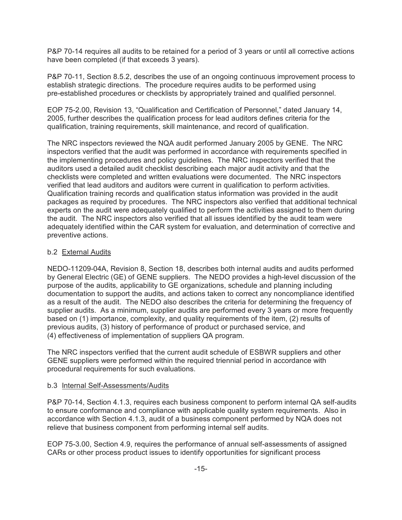P&P 70-14 requires all audits to be retained for a period of 3 years or until all corrective actions have been completed (if that exceeds 3 years).

P&P 70-11, Section 8.5.2, describes the use of an ongoing continuous improvement process to establish strategic directions. The procedure requires audits to be performed using pre-established procedures or checklists by appropriately trained and qualified personnel.

EOP 75-2.00, Revision 13, "Qualification and Certification of Personnel," dated January 14, 2005, further describes the qualification process for lead auditors defines criteria for the qualification, training requirements, skill maintenance, and record of qualification.

The NRC inspectors reviewed the NQA audit performed January 2005 by GENE. The NRC inspectors verified that the audit was performed in accordance with requirements specified in the implementing procedures and policy guidelines. The NRC inspectors verified that the auditors used a detailed audit checklist describing each major audit activity and that the checklists were completed and written evaluations were documented. The NRC inspectors verified that lead auditors and auditors were current in qualification to perform activities. Qualification training records and qualification status information was provided in the audit packages as required by procedures. The NRC inspectors also verified that additional technical experts on the audit were adequately qualified to perform the activities assigned to them during the audit. The NRC inspectors also verified that all issues identified by the audit team were adequately identified within the CAR system for evaluation, and determination of corrective and preventive actions.

## b.2 External Audits

NEDO-11209-04A, Revision 8, Section 18, describes both internal audits and audits performed by General Electric (GE) of GENE suppliers. The NEDO provides a high-level discussion of the purpose of the audits, applicability to GE organizations, schedule and planning including documentation to support the audits, and actions taken to correct any noncompliance identified as a result of the audit. The NEDO also describes the criteria for determining the frequency of supplier audits. As a minimum, supplier audits are performed every 3 years or more frequently based on (1) importance, complexity, and quality requirements of the item, (2) results of previous audits, (3) history of performance of product or purchased service, and (4) effectiveness of implementation of suppliers QA program.

The NRC inspectors verified that the current audit schedule of ESBWR suppliers and other GENE suppliers were performed within the required triennial period in accordance with procedural requirements for such evaluations.

#### b.3 Internal Self-Assessments/Audits

P&P 70-14, Section 4.1.3, requires each business component to perform internal QA self-audits to ensure conformance and compliance with applicable quality system requirements. Also in accordance with Section 4.1.3, audit of a business component performed by NQA does not relieve that business component from performing internal self audits.

EOP 75-3.00, Section 4.9, requires the performance of annual self-assessments of assigned CARs or other process product issues to identify opportunities for significant process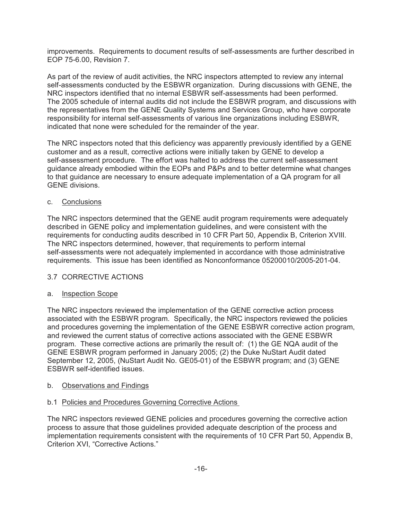improvements. Requirements to document results of self-assessments are further described in EOP 75-6.00, Revision 7.

As part of the review of audit activities, the NRC inspectors attempted to review any internal self-assessments conducted by the ESBWR organization. During discussions with GENE, the NRC inspectors identified that no internal ESBWR self-assessments had been performed. The 2005 schedule of internal audits did not include the ESBWR program, and discussions with the representatives from the GENE Quality Systems and Services Group, who have corporate responsibility for internal self-assessments of various line organizations including ESBWR, indicated that none were scheduled for the remainder of the year.

The NRC inspectors noted that this deficiency was apparently previously identified by a GENE customer and as a result, corrective actions were initially taken by GENE to develop a self-assessment procedure. The effort was halted to address the current self-assessment guidance already embodied within the EOPs and P&Ps and to better determine what changes to that guidance are necessary to ensure adequate implementation of a QA program for all GENE divisions.

## c. Conclusions

The NRC inspectors determined that the GENE audit program requirements were adequately described in GENE policy and implementation guidelines, and were consistent with the requirements for conducting audits described in 10 CFR Part 50, Appendix B, Criterion XVIII. The NRC inspectors determined, however, that requirements to perform internal self-assessments were not adequately implemented in accordance with those administrative requirements. This issue has been identified as Nonconformance 05200010/2005-201-04.

## 3.7 CORRECTIVE ACTIONS

## a. Inspection Scope

The NRC inspectors reviewed the implementation of the GENE corrective action process associated with the ESBWR program. Specifically, the NRC inspectors reviewed the policies and procedures governing the implementation of the GENE ESBWR corrective action program, and reviewed the current status of corrective actions associated with the GENE ESBWR program. These corrective actions are primarily the result of: (1) the GE NQA audit of the GENE ESBWR program performed in January 2005; (2) the Duke NuStart Audit dated September 12, 2005, (NuStart Audit No. GE05-01) of the ESBWR program; and (3) GENE ESBWR self-identified issues.

## b. Observations and Findings

## b.1 Policies and Procedures Governing Corrective Actions

The NRC inspectors reviewed GENE policies and procedures governing the corrective action process to assure that those guidelines provided adequate description of the process and implementation requirements consistent with the requirements of 10 CFR Part 50, Appendix B, Criterion XVI, "Corrective Actions."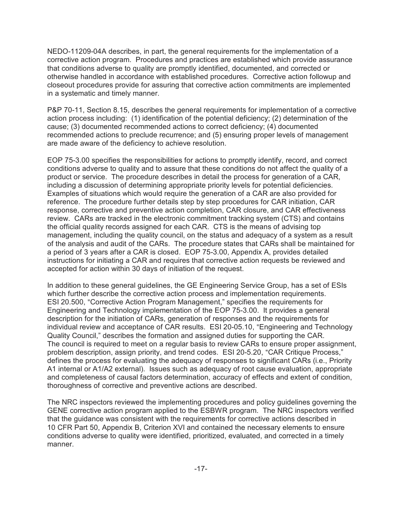NEDO-11209-04A describes, in part, the general requirements for the implementation of a corrective action program. Procedures and practices are established which provide assurance that conditions adverse to quality are promptly identified, documented, and corrected or otherwise handled in accordance with established procedures. Corrective action followup and closeout procedures provide for assuring that corrective action commitments are implemented in a systematic and timely manner.

P&P 70-11, Section 8.15, describes the general requirements for implementation of a corrective action process including: (1) identification of the potential deficiency; (2) determination of the cause; (3) documented recommended actions to correct deficiency; (4) documented recommended actions to preclude recurrence; and (5) ensuring proper levels of management are made aware of the deficiency to achieve resolution.

EOP 75-3.00 specifies the responsibilities for actions to promptly identify, record, and correct conditions adverse to quality and to assure that these conditions do not affect the quality of a product or service. The procedure describes in detail the process for generation of a CAR, including a discussion of determining appropriate priority levels for potential deficiencies. Examples of situations which would require the generation of a CAR are also provided for reference. The procedure further details step by step procedures for CAR initiation, CAR response, corrective and preventive action completion, CAR closure, and CAR effectiveness review. CARs are tracked in the electronic commitment tracking system (CTS) and contains the official quality records assigned for each CAR. CTS is the means of advising top management, including the quality council, on the status and adequacy of a system as a result of the analysis and audit of the CARs. The procedure states that CARs shall be maintained for a period of 3 years after a CAR is closed. EOP 75-3.00, Appendix A, provides detailed instructions for initiating a CAR and requires that corrective action requests be reviewed and accepted for action within 30 days of initiation of the request.

In addition to these general guidelines, the GE Engineering Service Group, has a set of ESIs which further describe the corrective action process and implementation requirements. ESI 20.500, "Corrective Action Program Management," specifies the requirements for Engineering and Technology implementation of the EOP 75-3.00. It provides a general description for the initiation of CARs, generation of responses and the requirements for individual review and acceptance of CAR results. ESI 20-05.10, "Engineering and Technology Quality Council," describes the formation and assigned duties for supporting the CAR. The council is required to meet on a regular basis to review CARs to ensure proper assignment, problem description, assign priority, and trend codes. ESI 20-5.20, "CAR Critique Process." defines the process for evaluating the adequacy of responses to significant CARs (i.e., Priority A1 internal or A1/A2 external). Issues such as adequacy of root cause evaluation, appropriate and completeness of causal factors determination, accuracy of effects and extent of condition, thoroughness of corrective and preventive actions are described.

The NRC inspectors reviewed the implementing procedures and policy guidelines governing the GENE corrective action program applied to the ESBWR program. The NRC inspectors verified that the guidance was consistent with the requirements for corrective actions described in 10 CFR Part 50, Appendix B, Criterion XVI and contained the necessary elements to ensure conditions adverse to quality were identified, prioritized, evaluated, and corrected in a timely manner.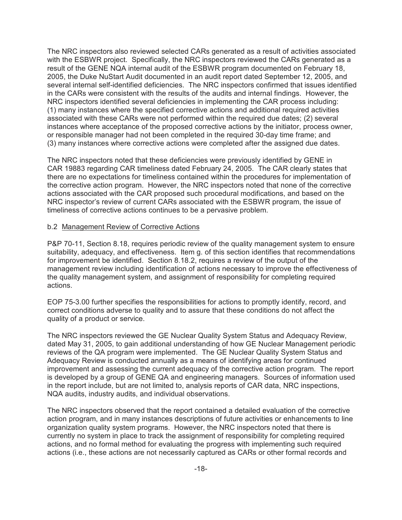The NRC inspectors also reviewed selected CARs generated as a result of activities associated with the ESBWR project. Specifically, the NRC inspectors reviewed the CARs generated as a result of the GENE NQA internal audit of the ESBWR program documented on February 18, 2005, the Duke NuStart Audit documented in an audit report dated September 12, 2005, and several internal self-identified deficiencies. The NRC inspectors confirmed that issues identified in the CARs were consistent with the results of the audits and internal findings. However, the NRC inspectors identified several deficiencies in implementing the CAR process including: (1) many instances where the specified corrective actions and additional required activities associated with these CARs were not performed within the required due dates; (2) several instances where acceptance of the proposed corrective actions by the initiator, process owner, or responsible manager had not been completed in the required 30-day time frame; and (3) many instances where corrective actions were completed after the assigned due dates.

The NRC inspectors noted that these deficiencies were previously identified by GENE in CAR 19883 regarding CAR timeliness dated February 24, 2005. The CAR clearly states that there are no expectations for timeliness contained within the procedures for implementation of the corrective action program. However, the NRC inspectors noted that none of the corrective actions associated with the CAR proposed such procedural modifications, and based on the NRC inspector's review of current CARs associated with the ESBWR program, the issue of timeliness of corrective actions continues to be a pervasive problem.

### b.2 Management Review of Corrective Actions

P&P 70-11, Section 8.18, requires periodic review of the quality management system to ensure suitability, adequacy, and effectiveness. Item g. of this section identifies that recommendations for improvement be identified. Section 8.18.2, requires a review of the output of the management review including identification of actions necessary to improve the effectiveness of the quality management system, and assignment of responsibility for completing required actions.

EOP 75-3.00 further specifies the responsibilities for actions to promptly identify, record, and correct conditions adverse to quality and to assure that these conditions do not affect the quality of a product or service.

The NRC inspectors reviewed the GE Nuclear Quality System Status and Adequacy Review, dated May 31, 2005, to gain additional understanding of how GE Nuclear Management periodic reviews of the QA program were implemented. The GE Nuclear Quality System Status and Adequacy Review is conducted annually as a means of identifying areas for continued improvement and assessing the current adequacy of the corrective action program. The report is developed by a group of GENE QA and engineering managers. Sources of information used in the report include, but are not limited to, analysis reports of CAR data, NRC inspections, NQA audits, industry audits, and individual observations.

The NRC inspectors observed that the report contained a detailed evaluation of the corrective action program, and in many instances descriptions of future activities or enhancements to line organization quality system programs. However, the NRC inspectors noted that there is currently no system in place to track the assignment of responsibility for completing required actions, and no formal method for evaluating the progress with implementing such required actions (i.e., these actions are not necessarily captured as CARs or other formal records and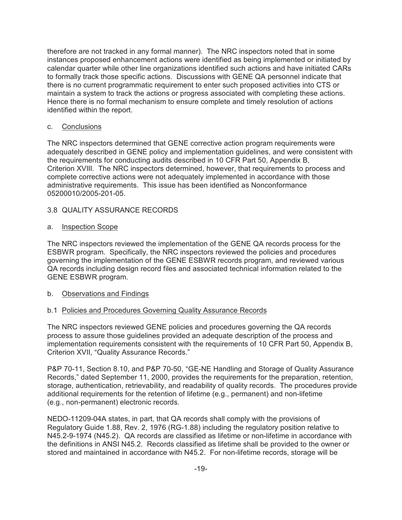therefore are not tracked in any formal manner). The NRC inspectors noted that in some instances proposed enhancement actions were identified as being implemented or initiated by calendar quarter while other line organizations identified such actions and have initiated CARs to formally track those specific actions. Discussions with GENE QA personnel indicate that there is no current programmatic requirement to enter such proposed activities into CTS or maintain a system to track the actions or progress associated with completing these actions. Hence there is no formal mechanism to ensure complete and timely resolution of actions identified within the report.

## c. Conclusions

The NRC inspectors determined that GENE corrective action program requirements were adequately described in GENE policy and implementation guidelines, and were consistent with the requirements for conducting audits described in 10 CFR Part 50, Appendix B, Criterion XVIII. The NRC inspectors determined, however, that requirements to process and complete corrective actions were not adequately implemented in accordance with those administrative requirements. This issue has been identified as Nonconformance 05200010/2005-201-05.

## 3.8 QUALITY ASSURANCE RECORDS

## a. Inspection Scope

The NRC inspectors reviewed the implementation of the GENE QA records process for the ESBWR program. Specifically, the NRC inspectors reviewed the policies and procedures governing the implementation of the GENE ESBWR records program, and reviewed various QA records including design record files and associated technical information related to the GENE ESBWR program.

## b. Observations and Findings

## b.1 Policies and Procedures Governing Quality Assurance Records

The NRC inspectors reviewed GENE policies and procedures governing the QA records process to assure those guidelines provided an adequate description of the process and implementation requirements consistent with the requirements of 10 CFR Part 50, Appendix B, Criterion XVII, "Quality Assurance Records."

P&P 70-11, Section 8.10, and P&P 70-50, "GE-NE Handling and Storage of Quality Assurance Records," dated September 11, 2000, provides the requirements for the preparation, retention, storage, authentication, retrievability, and readability of quality records. The procedures provide additional requirements for the retention of lifetime (e.g., permanent) and non-lifetime (e.g., non-permanent) electronic records.

NEDO-11209-04A states, in part, that QA records shall comply with the provisions of Regulatory Guide 1.88, Rev. 2, 1976 (RG-1.88) including the regulatory position relative to N45.2-9-1974 (N45.2). QA records are classified as lifetime or non-lifetime in accordance with the definitions in ANSI N45.2. Records classified as lifetime shall be provided to the owner or stored and maintained in accordance with N45.2. For non-lifetime records, storage will be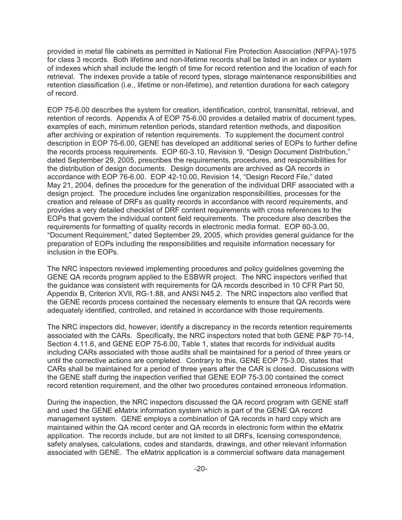provided in metal file cabinets as permitted in National Fire Protection Association (NFPA)-1975 for class 3 records. Both lifetime and non-lifetime records shall be listed in an index or system of indexes which shall include the length of time for record retention and the location of each for retrieval. The indexes provide a table of record types, storage maintenance responsibilities and retention classification (i.e., lifetime or non-lifetime), and retention durations for each category of record.

EOP 75-6.00 describes the system for creation, identification, control, transmittal, retrieval, and retention of records. Appendix A of EOP 75-6.00 provides a detailed matrix of document types, examples of each, minimum retention periods, standard retention methods, and disposition after archiving or expiration of retention requirements. To supplement the document control description in EOP 75-6.00, GENE has developed an additional series of EOPs to further define the records process requirements. EOP 60-3.10, Revision 9, "Design Document Distribution," dated September 29, 2005, prescribes the requirements, procedures, and responsibilities for the distribution of design documents. Design documents are archived as QA records in accordance with EOP 76-6.00. EOP 42-10.00, Revision 14, "Design Record File," dated May 21, 2004, defines the procedure for the generation of the individual DRF associated with a design project. The procedure includes line organization responsibilities, processes for the creation and release of DRFs as quality records in accordance with record requirements, and provides a very detailed checklist of DRF content requirements with cross references to the EOPs that govern the individual content field requirements. The procedure also describes the requirements for formatting of quality records in electronic media format. EOP 60-3.00, ?Document Requirement," dated September 29, 2005, which provides general guidance for the preparation of EOPs including the responsibilities and requisite information necessary for inclusion in the EOPs.

The NRC inspectors reviewed implementing procedures and policy guidelines governing the GENE QA records program applied to the ESBWR project. The NRC inspectors verified that the guidance was consistent with requirements for QA records described in 10 CFR Part 50, Appendix B, Criterion XVII, RG-1.88, and ANSI N45.2. The NRC inspectors also verified that the GENE records process contained the necessary elements to ensure that QA records were adequately identified, controlled, and retained in accordance with those requirements.

The NRC inspectors did, however, identify a discrepancy in the records retention requirements associated with the CARs. Specifically, the NRC inspectors noted that both GENE P&P 70-14, Section 4.11.6, and GENE EOP 75-6.00, Table 1, states that records for individual audits including CARs associated with those audits shall be maintained for a period of three years or until the corrective actions are completed. Contrary to this, GENE EOP 75-3.00, states that CARs shall be maintained for a period of three years after the CAR is closed. Discussions with the GENE staff during the inspection verified that GENE EOP 75-3.00 contained the correct record retention requirement, and the other two procedures contained erroneous information.

During the inspection, the NRC inspectors discussed the QA record program with GENE staff and used the GENE eMatrix information system which is part of the GENE QA record management system. GENE employs a combination of QA records in hard copy which are maintained within the QA record center and QA records in electronic form within the eMatrix application. The records include, but are not limited to all DRFs, licensing correspondence, safety analyses, calculations, codes and standards, drawings, and other relevant information associated with GENE. The eMatrix application is a commercial software data management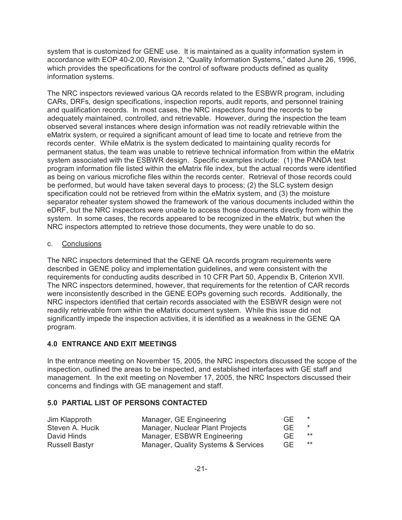system that is customized for GENE use. It is maintained as a quality information system in accordance with EOP 40-2.00, Revision 2, "Quality Information Systems," dated June 26, 1996, which provides the specifications for the control of software products defined as quality information systems.

The NRC inspectors reviewed various QA records related to the ESBWR program, including CARs, DRFs, design specifications, inspection reports, audit reports, and personnel training and qualification records. In most cases, the NRC inspectors found the records to be adequately maintained, controlled, and retrievable. However, during the inspection the team observed several instances where design information was not readily retrievable within the eMatrix system, or required a significant amount of lead time to locate and retrieve from the records center. While eMatrix is the system dedicated to maintaining quality records for permanent status, the team was unable to retrieve technical information from within the eMatrix system associated with the ESBWR design. Specific examples include: (1) the PANDA test program information file listed within the eMatrix file index, but the actual records were identified as being on various microfiche files within the records center. Retrieval of those records could be performed, but would have taken several days to process; (2) the SLC system design specification could not be retrieved from within the eMatrix system, and (3) the moisture separator reheater system showed the framework of the various documents included within the eDRF, but the NRC inspectors were unable to access those documents directly from within the system. In some cases, the records appeared to be recognized in the eMatrix, but when the NRC inspectors attempted to retrieve those documents, they were unable to do so.

## c. Conclusions

The NRC inspectors determined that the GENE QA records program requirements were described in GENE policy and implementation guidelines, and were consistent with the requirements for conducting audits described in 10 CFR Part 50, Appendix B, Criterion XVII. The NRC inspectors determined, however, that requirements for the retention of CAR records were inconsistently described in the GENE EOPs governing such records. Additionally, the NRC inspectors identified that certain records associated with the ESBWR design were not readily retrievable from within the eMatrix document system. While this issue did not significantly impede the inspection activities, it is identified as a weakness in the GENE QA program.

## **4.0 ENTRANCE AND EXIT MEETINGS**

In the entrance meeting on November 15, 2005, the NRC inspectors discussed the scope of the inspection, outlined the areas to be inspected, and established interfaces with GE staff and management. In the exit meeting on November 17, 2005, the NRC Inspectors discussed their concerns and findings with GE management and staff.

## **5.0 PARTIAL LIST OF PERSONS CONTACTED**

| Jim Klapproth         | Manager, GE Engineering             | GE. |       |
|-----------------------|-------------------------------------|-----|-------|
| Steven A. Hucik       | Manager, Nuclear Plant Projects     | GE. |       |
| David Hinds           | Manager, ESBWR Engineering          | GE. | $***$ |
| <b>Russell Bastyr</b> | Manager, Quality Systems & Services | GE. | $***$ |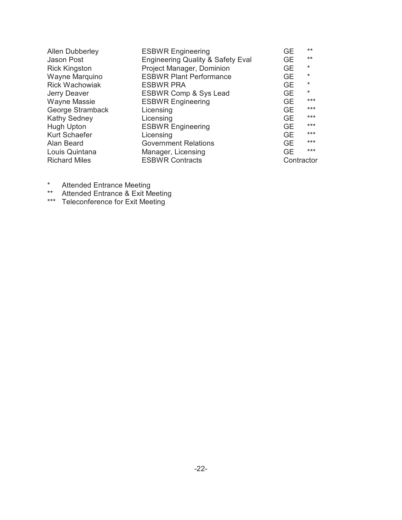| <b>Allen Dubberley</b> | <b>ESBWR Engineering</b>                     | <b>GE</b>  | $***$   |
|------------------------|----------------------------------------------|------------|---------|
| Jason Post             | <b>Engineering Quality &amp; Safety Eval</b> | GE         | $***$   |
| <b>Rick Kingston</b>   | Project Manager, Dominion                    | <b>GE</b>  | $\star$ |
| Wayne Marquino         | <b>ESBWR Plant Performance</b>               | <b>GE</b>  | $\star$ |
| <b>Rick Wachowiak</b>  | <b>ESBWR PRA</b>                             | <b>GE</b>  | $\star$ |
| Jerry Deaver           | ESBWR Comp & Sys Lead                        | <b>GE</b>  | $\star$ |
| <b>Wayne Massie</b>    | <b>ESBWR Engineering</b>                     | <b>GE</b>  | $***$   |
| George Stramback       | Licensing                                    | GE         | $***$   |
| Kathy Sedney           | Licensing                                    | <b>GE</b>  | $***$   |
| Hugh Upton             | <b>ESBWR Engineering</b>                     | <b>GE</b>  | $***$   |
| Kurt Schaefer          | Licensing                                    | <b>GE</b>  | $***$   |
| Alan Beard             | <b>Government Relations</b>                  | <b>GE</b>  | $***$   |
| Louis Quintana         | Manager, Licensing                           | <b>GE</b>  | $***$   |
| <b>Richard Miles</b>   | <b>ESBWR Contracts</b>                       | Contractor |         |
|                        |                                              |            |         |

- \* Attended Entrance Meeting
- \*\* Attended Entrance & Exit Meeting
- \*\*\* Teleconference for Exit Meeting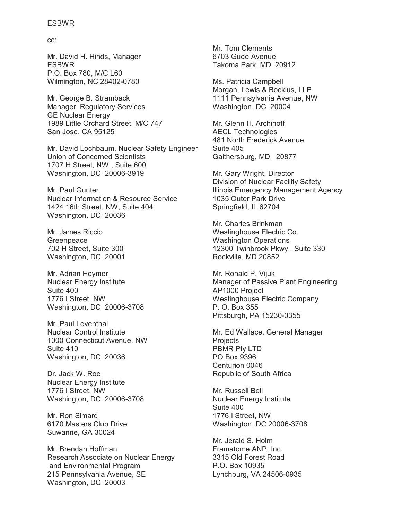cc:

Mr. David H. Hinds, Manager ESBWR P.O. Box 780, M/C L60 Wilmington, NC 28402-0780

Mr. George B. Stramback Manager, Regulatory Services GE Nuclear Energy 1989 Little Orchard Street, M/C 747 San Jose, CA 95125

Mr. David Lochbaum, Nuclear Safety Engineer Union of Concerned Scientists 1707 H Street, NW., Suite 600 Washington, DC 20006-3919

Mr. Paul Gunter Nuclear Information & Resource Service 1424 16th Street, NW, Suite 404 Washington, DC 20036

Mr. James Riccio Greenpeace 702 H Street, Suite 300 Washington, DC 20001

Mr. Adrian Heymer Nuclear Energy Institute Suite 400 1776 I Street, NW Washington, DC 20006-3708

Mr. Paul Leventhal Nuclear Control Institute 1000 Connecticut Avenue, NW Suite 410 Washington, DC 20036

Dr. Jack W. Roe Nuclear Energy Institute 1776 I Street, NW Washington, DC 20006-3708

Mr. Ron Simard 6170 Masters Club Drive Suwanne, GA 30024

Mr. Brendan Hoffman Research Associate on Nuclear Energy and Environmental Program 215 Pennsylvania Avenue, SE Washington, DC 20003

Mr. Tom Clements 6703 Gude Avenue Takoma Park, MD 20912

Ms. Patricia Campbell Morgan, Lewis & Bockius, LLP 1111 Pennsylvania Avenue, NW Washington, DC 20004

Mr. Glenn H. Archinoff AECL Technologies 481 North Frederick Avenue Suite 405 Gaithersburg, MD. 20877

Mr. Gary Wright, Director Division of Nuclear Facility Safety Illinois Emergency Management Agency 1035 Outer Park Drive Springfield, IL 62704

Mr. Charles Brinkman Westinghouse Electric Co. Washington Operations 12300 Twinbrook Pkwy., Suite 330 Rockville, MD 20852

Mr. Ronald P. Vijuk Manager of Passive Plant Engineering AP1000 Project Westinghouse Electric Company P. O. Box 355 Pittsburgh, PA 15230-0355

Mr. Ed Wallace, General Manager **Projects** PBMR Pty LTD PO Box 9396 Centurion 0046 Republic of South Africa

Mr. Russell Bell Nuclear Energy Institute Suite 400 1776 I Street, NW Washington, DC 20006-3708

Mr. Jerald S. Holm Framatome ANP, Inc. 3315 Old Forest Road P.O. Box 10935 Lynchburg, VA 24506-0935